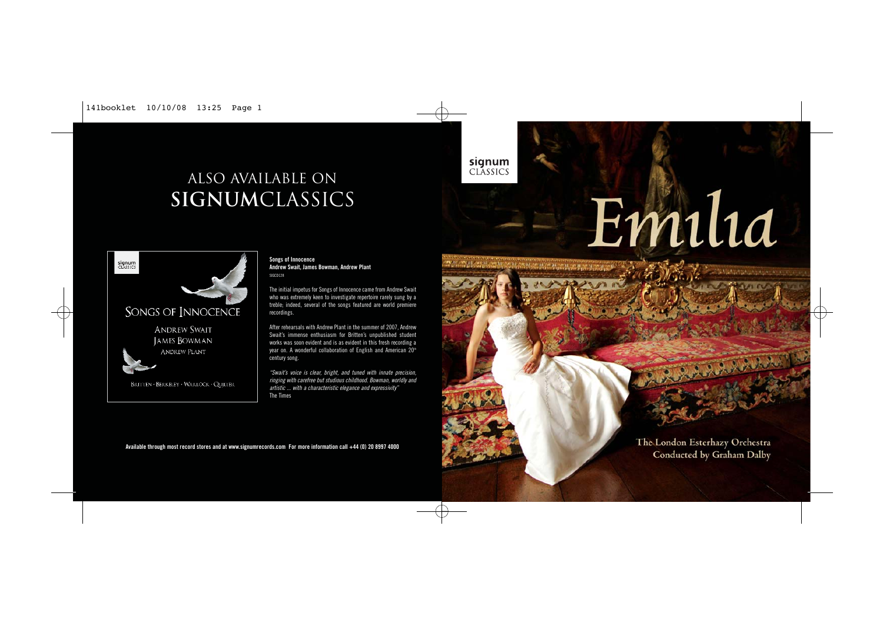141booklet 10/10/08 13:25 Page 1

# ALSO AVAILABLE on **signum**classics

signum<br>CLASSICS SONGS OF INNOCENCE **ANDREW SWAIT** JAMES BOWMAN ANDREW PLANT BRITTEN · BERKELEY · WARLOCK · QUILTER

Œ

#### **Songs of Innocence Andrew Swait, James Bowman, Andrew Plant** SIGCD128

The initial impetus for Songs of Innocence came from Andrew Swait who was extremely keen to investigate repertoire rarely sung by a treble; indeed, several of the songs featured are world premiere recordings.

After rehearsals with Andrew Plant in the summer of 2007, Andrew Swait's immense enthusiasm for Britten's unpublished student works was soon evident and is as evident in this fresh recording a year on. A wonderful collaboration of English and American 20<sup>th</sup> century song.

"Swait's voice is clear, bright, and tuned with innate precision, ringing with carefree but studious childhood. Bowman, worldly and artistic ... with a characteristic elegance and expressivity" The Times

**Available through most record stores and at www.signumrecords.com For more information call +44 (0) 20 8997 4000**

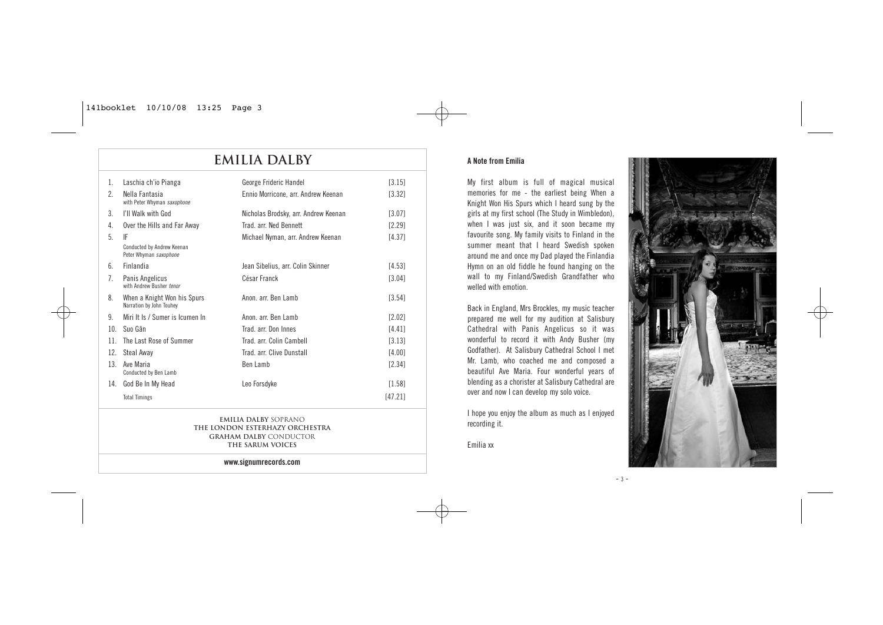## **Emilia Dalby**

| $\mathbf{1}$ . | Laschia ch'io Pianga                                    | George Frideric Handel               | [3.15]   |
|----------------|---------------------------------------------------------|--------------------------------------|----------|
| 2.             | Nella Fantasia<br>with Peter Whyman saxophone           | Ennio Morricone, arr. Andrew Keenan  | [3.32]   |
| 3.             | I'll Walk with God                                      | Nicholas Brodsky, arr. Andrew Keenan | [3.07]   |
| 4.             | Over the Hills and Far Away                             | Trad arr Ned Bennett                 | [2.29]   |
| 5              | IF                                                      | Michael Nyman, arr. Andrew Keenan    | [4.37]   |
|                | Conducted by Andrew Keenan<br>Peter Whyman saxophone    |                                      |          |
| $6^{\circ}$    | Finlandia                                               | Jean Sibelius, arr. Colin Skinner    | [4.53]   |
| 7.             | Panis Angelicus<br>with Andrew Busher tenor             | César Franck                         | [3.04]   |
| 8.             | When a Knight Won his Spurs<br>Narration by John Touhey | Anon, arr. Ben Lamb                  | [3.54]   |
| 9              | Miri It Is / Sumer is Icumen In                         | Anon arr Ben Lamb                    | [2.02]   |
| 10.            | Suo Gân                                                 | Trad arr Don Innes                   | [4.41]   |
| 11.            | The Last Rose of Summer                                 | Trad. arr. Colin Cambell             | [3.13]   |
| 12.            | Steal Away                                              | Trad. arr. Clive Dunstall            | [4.00]   |
| 13.            | Ave Maria<br>Conducted by Ben Lamb                      | Ben Lamb                             | [2.34]   |
| 14.            | God Be In My Head                                       | Leo Forsdyke                         | $[1.58]$ |
|                | <b>Total Timings</b>                                    |                                      | [47.21]  |
|                |                                                         |                                      |          |

**Emilia Dalby** soprano **The London Esterhazy Orchestra Graham Dalby** Conductor **The Sarum Voices**

**www.signumrecords.com**

#### **A Note from Emilia**

My first album is full of magical musical memories for me - the earliest being When a Knight Won His Spurs which I heard sung by the girls at my first school (The Study in Wimbledon), when I was just six, and it soon became my favourite song. My family visits to Finland in the summer meant that I heard Swedish spoken around me and once my Dad played the Finlandia Hymn on an old fiddle he found hanging on the wall to my Finland/Swedish Grandfather who welled with emotion.

Back in England, Mrs Brockles, my music teacher prepared me well for my audition at Salisbury Cathedral with Panis Angelicus so it was wonderful to record it with Andy Busher (my Godfather). At Salisbury Cathedral School I met Mr. Lamb, who coached me and composed a beautiful Ave Maria. Four wonderful years of blending as a chorister at Salisbury Cathedral are over and now I can develop my solo voice.

I hope you enjoy the album as much as I enjoyed recording it.

Emilia xx



 $- 3 -$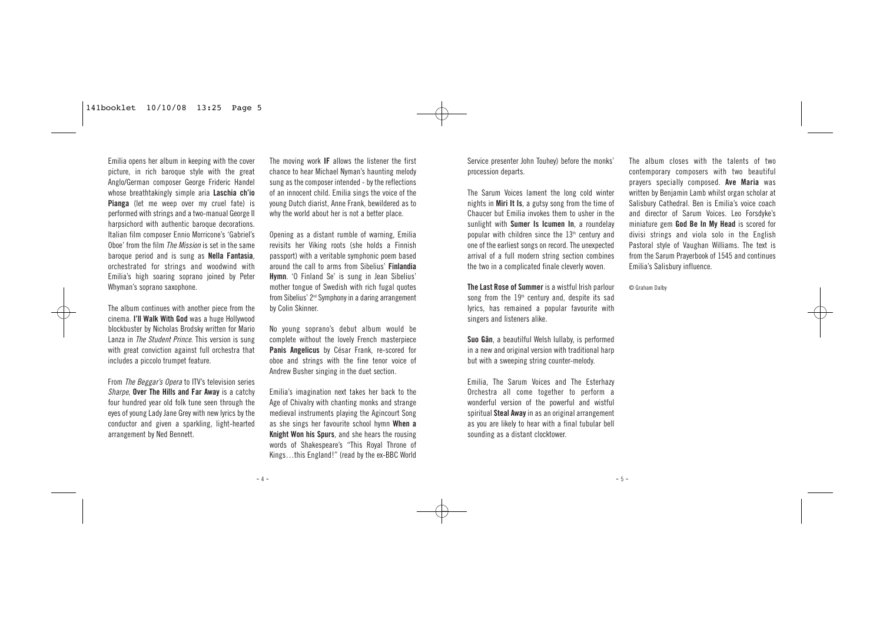#### 141booklet 10/10/08 13:25 Page 5

Emilia opens her album in keeping with the cover picture, in rich baroque style with the great Anglo/German composer George Frideric Handel whose breathtakingly simple aria **Laschia ch'io Pianga** (let me weep over my cruel fate) is performed with strings and a two-manual George II harpsichord with authentic baroque decorations. Italian film composer Ennio Morricone's 'Gabriel's Oboe' from the film *The Mission* is set in the same baroque period and is sung as **Nella Fantasia**, orchestrated for strings and woodwind with Emilia's high soaring soprano joined by Peter Whyman's soprano saxophone.

The album continues with another piece from the cinema. **I'll Walk With God** was a huge Hollywood blockbuster by Nicholas Brodsky written for Mario Lanza in *The Student Prince*. This version is sung with great conviction against full orchestra that includes a piccolo trumpet feature.

From The Beggar's Opera to ITV's television series Sharpe, **Over The Hills and Far Away** is a catchy four hundred year old folk tune seen through the eyes of young Lady Jane Grey with new lyrics by the conductor and given a sparkling, light-hearted arrangement by Ned Bennett.

The moving work **IF** allows the listener the first chance to hear Michael Nyman's haunting melody sung as the composer intended - by the reflections of an innocent child. Emilia sings the voice of the young Dutch diarist, Anne Frank, bewildered as to why the world about her is not a better place.

Opening as a distant rumble of warning, Emilia revisits her Viking roots (she holds a Finnish passport) with a veritable symphonic poem based around the call to arms from Sibelius' **Finlandia Hymn**. 'O Finland Se' is sung in Jean Sibelius' mother tongue of Swedish with rich fugal quotes from Sibelius' 2<sup>nd</sup> Symphony in a daring arrangement by Colin Skinner.

No young soprano's debut album would be complete without the lovely French masterpiece **Panis Angelicus** by César Frank, re-scored for oboe and strings with the fine tenor voice of Andrew Busher singing in the duet section.

Emilia's imagination next takes her back to the Age of Chivalry with chanting monks and strange medieval instruments playing the Agincourt Song as she sings her favourite school hymn **When a Knight Won his Spurs**, and she hears the rousing words of Shakespeare's "This Royal Throne of Kings…this England!" (read by the ex-BBC World

- 4 -

Service presenter John Touhey) before the monks' procession departs.

The Sarum Voices lament the long cold winter nights in **Miri It Is**, a gutsy song from the time of Chaucer but Emilia invokes them to usher in the sunlight with **Sumer Is Icumen In**, a roundelay popular with children since the  $13<sup>th</sup>$  century and one of the earliest songs on record. The unexpected arrival of a full modern string section combines the two in a complicated finale cleverly woven.

**The Last Rose of Summer** is a wistful Irish parlour song from the  $19<sup>th</sup>$  century and, despite its sad lyrics, has remained a popular favourite with singers and listeners alike.

**Suo Gân**, a beautilful Welsh lullaby, is performed in a new and original version with traditional harp but with a sweeping string counter-melody.

Emilia, The Sarum Voices and The Esterhazy Orchestra all come together to perform a wonderful version of the powerful and wistful spiritual **Steal Away**in as an original arrangement as you are likely to hear with a final tubular bell sounding as a distant clocktower.

The album closes with the talents of two contemporary composers with two beautiful prayers specially composed. **Ave Maria** was written by Benjamin Lamb whilst organ scholar at Salisbury Cathedral. Ben is Emilia's voice coach and director of Sarum Voices. Leo Forsdyke's miniature gem **God Be In My Head** is scored for divisi strings and viola solo in the English Pastoral style of Vaughan Williams. The text is from the Sarum Prayerbook of 1545 and continues Emilia's Salisbury influence.

© Graham Dalby

 $-5 -$